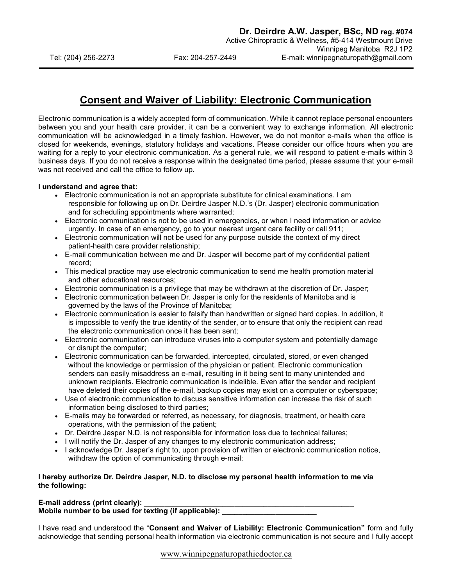## Consent and Waiver of Liability: Electronic Communication

Electronic communication is a widely accepted form of communication. While it cannot replace personal encounters between you and your health care provider, it can be a convenient way to exchange information. All electronic communication will be acknowledged in a timely fashion. However, we do not monitor e-mails when the office is closed for weekends, evenings, statutory holidays and vacations. Please consider our office hours when you are waiting for a reply to your electronic communication. As a general rule, we will respond to patient e-mails within 3 business days. If you do not receive a response within the designated time period, please assume that your e-mail was not received and call the office to follow up.

## I understand and agree that:

- Electronic communication is not an appropriate substitute for clinical examinations. I am responsible for following up on Dr. Deirdre Jasper N.D.'s (Dr. Jasper) electronic communication and for scheduling appointments where warranted;
- Electronic communication is not to be used in emergencies, or when I need information or advice urgently. In case of an emergency, go to your nearest urgent care facility or call 911;
- Electronic communication will not be used for any purpose outside the context of my direct patient-health care provider relationship;
- E-mail communication between me and Dr. Jasper will become part of my confidential patient record;
- This medical practice may use electronic communication to send me health promotion material and other educational resources;
- Electronic communication is a privilege that may be withdrawn at the discretion of Dr. Jasper;
- Electronic communication between Dr. Jasper is only for the residents of Manitoba and is governed by the laws of the Province of Manitoba;
- Electronic communication is easier to falsify than handwritten or signed hard copies. In addition, it is impossible to verify the true identity of the sender, or to ensure that only the recipient can read the electronic communication once it has been sent;
- Electronic communication can introduce viruses into a computer system and potentially damage or disrupt the computer;
- Electronic communication can be forwarded, intercepted, circulated, stored, or even changed without the knowledge or permission of the physician or patient. Electronic communication senders can easily misaddress an e-mail, resulting in it being sent to many unintended and unknown recipients. Electronic communication is indelible. Even after the sender and recipient have deleted their copies of the e-mail, backup copies may exist on a computer or cyberspace;
- Use of electronic communication to discuss sensitive information can increase the risk of such information being disclosed to third parties;
- E-mails may be forwarded or referred, as necessary, for diagnosis, treatment, or health care operations, with the permission of the patient;
- Dr. Deirdre Jasper N.D. is not responsible for information loss due to technical failures;
- I will notify the Dr. Jasper of any changes to my electronic communication address;
- I acknowledge Dr. Jasper's right to, upon provision of written or electronic communication notice, withdraw the option of communicating through e-mail;

## I hereby authorize Dr. Deirdre Jasper, N.D. to disclose my personal health information to me via the following:

E-mail address (print clearly): Mobile number to be used for texting (if applicable): \_\_\_\_\_\_\_\_\_\_\_\_\_\_\_\_\_\_\_\_\_\_\_\_\_\_

I have read and understood the "Consent and Waiver of Liability: Electronic Communication" form and fully acknowledge that sending personal health information via electronic communication is not secure and I fully accept

www.winnipegnaturopathicdoctor.ca